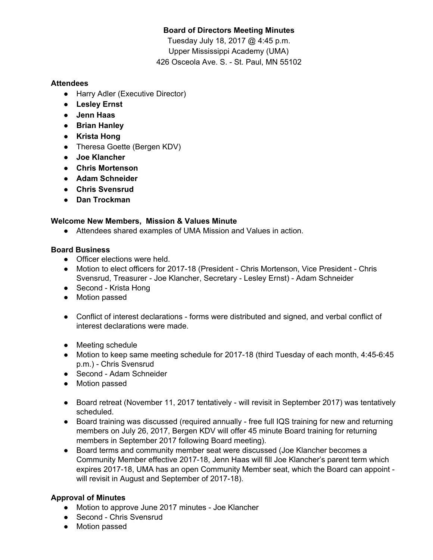# **Board of Directors Meeting Minutes**

Tuesday July 18, 2017 @ 4:45 p.m. Upper Mississippi Academy (UMA) 426 Osceola Ave. S. - St. Paul, MN 55102

### **Attendees**

- Harry Adler (Executive Director)
- **● Lesley Ernst**
- **● Jenn Haas**
- **● Brian Hanley**
- **● Krista Hong**
- Theresa Goette (Bergen KDV)
- **● Joe Klancher**
- **● Chris Mortenson**
- **● Adam Schneider**
- **● Chris Svensrud**
- **● Dan Trockman**

## **Welcome New Members, Mission & Values Minute**

● Attendees shared examples of UMA Mission and Values in action.

### **Board Business**

- Officer elections were held.
- Motion to elect officers for 2017-18 (President Chris Mortenson, Vice President Chris Svensrud, Treasurer - Joe Klancher, Secretary - Lesley Ernst) - Adam Schneider
- Second Krista Hong
- Motion passed
- Conflict of interest declarations forms were distributed and signed, and verbal conflict of interest declarations were made.
- Meeting schedule
- Motion to keep same meeting schedule for 2017-18 (third Tuesday of each month, 4:45-6:45 p.m.) - Chris Svensrud
- Second Adam Schneider
- Motion passed
- Board retreat (November 11, 2017 tentatively will revisit in September 2017) was tentatively scheduled.
- Board training was discussed (required annually free full IQS training for new and returning members on July 26, 2017, Bergen KDV will offer 45 minute Board training for returning members in September 2017 following Board meeting).
- Board terms and community member seat were discussed (Joe Klancher becomes a Community Member effective 2017-18, Jenn Haas will fill Joe Klancher's parent term which expires 2017-18, UMA has an open Community Member seat, which the Board can appoint will revisit in August and September of 2017-18).

## **Approval of Minutes**

- Motion to approve June 2017 minutes Joe Klancher
- Second Chris Svensrud
- Motion passed